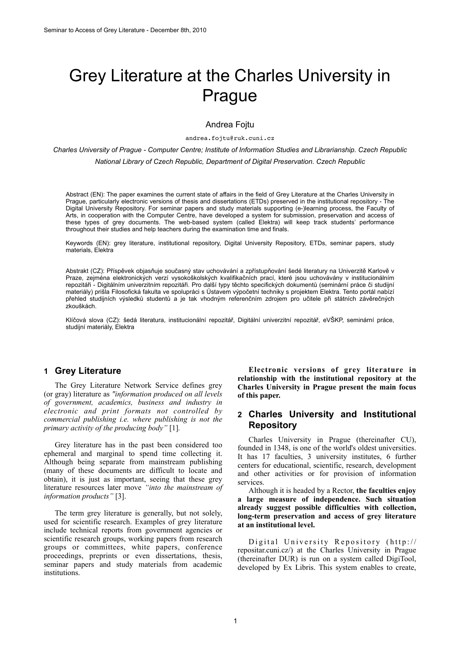# Grey Literature at the Charles University in Prague

#### Andrea Fojtu

andrea.fojtu@ruk.cuni.cz

*Charles University of Prague - Computer Centre; Institute of Information Studies and Librarianship. Czech Republic National Library of Czech Republic, Department of Digital Preservation. Czech Republic*

Abstract (EN): The paper examines the current state of affairs in the field of Grey Literature at the Charles University in Prague, particularly electronic versions of thesis and dissertations (ETDs) preserved in the institutional repository - The Digital University Repository. For seminar papers and study materials supporting (e-)learning process, the Faculty of Arts, in cooperation with the Computer Centre, have developed a system for submission, preservation and access of these types of grey documents. The web-based system (called Elektra) will keep track students' performance throughout their studies and help teachers during the examination time and finals.

Keywords (EN): grey literature, institutional repository, Digital University Repository, ETDs, seminar papers, study materials, Elektra

Abstrakt (CZ): Příspěvek objasňuje současný stav uchovávání a zpřístupňování šedé literatury na Univerzitě Karlově v Praze, zejména elektronických verzí vysokoškolských kvalifikačních prací, které jsou uchovávány v institucionálním repozitáři - Digitálním univerzitním repozitáři. Pro další typy těchto specifických dokumentů (seminární práce či studijní materiály) prišla Filosofická fakulta ve spolupráci s Ústavem výpočetní techniky s projektem Elektra. Tento portál nabízí přehled studijních výsledků studentů a je tak vhodným referenčním zdrojem pro učitele při státních závěrečných zkouškách.

Klíčová slova (CZ): šedá literatura, institucionální repozitář, Digitální univerzitní repozitář, eVŠKP, seminární práce, studijní materiály, Elektra

## **1 Grey Literature**

The Grey Literature Network Service defines grey (or gray) literature as *"information produced on all levels of government, academics, business and industry in electronic and print formats not controlled by commercial publishing i.e. where publishing is not the primary activity of the producing body"* [1]*.*

Grey literature has in the past been considered too ephemeral and marginal to spend time collecting it. Although being separate from mainstream publishing (many of these documents are difficult to locate and obtain), it is just as important, seeing that these grey literature resources later move *"into the mainstream of information products"* [3].

The term grey literature is generally, but not solely, used for scientific research. Examples of grey literature include [technical reports](http://en.wikipedia.org/wiki/Technical_report) from government agencies or scientific research groups, working papers from research groups or committees, [white papers](http://en.wikipedia.org/wiki/White_paper), conference proceedings, [preprints](http://en.wikipedia.org/wiki/Preprint) or even dissertations, thesis, seminar papers and study materials from academic institutions.

**Electronic versions of grey literature in relationship with the institutional repository at the Charles University in Prague present the main focus of this paper.**

# **2 Charles University and Institutional Repository**

Charles University in Prague (thereinafter CU), founded in 1348, is one of the world's oldest universities. It has 17 faculties, 3 university institutes, 6 further centers for educational, scientific, research, development and other activities or for provision of information services.

Although it is headed by a Rector, **the faculties enjoy a large measure of independence. Such situation already suggest possible difficulties with collection, long-term preservation and access of grey literature at an institutional level.** 

Digital University Repository (http:// repositar.cuni.cz/) at the Charles University in Prague (thereinafter DUR) is run on a system called DigiTool, developed by Ex Libris. This system enables to create,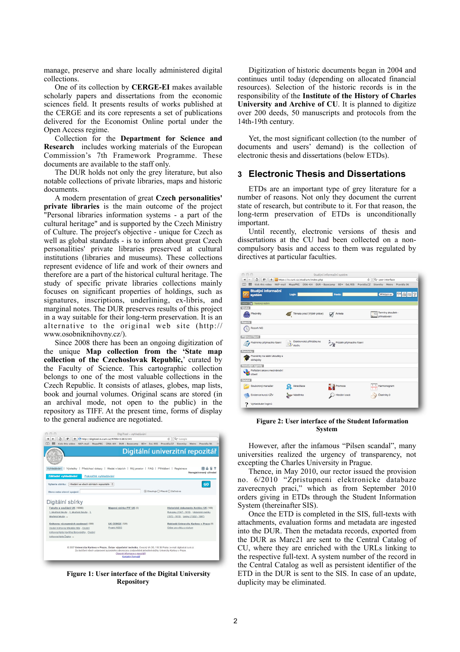manage, preserve and share locally administered digital collections.

One of its collection by **CERGE-EI** makes available scholarly papers and dissertations from the economic sciences field. It presents results of works published at the CERGE and its core represents a set of publications delivered for the Economist Online portal under the Open Access regime.

Collection for the **Department for Science and Research** includes working materials of the European Commission's 7th Framework Programme. These documents are available to the staff only.

The DUR holds not only the grey literature, but also notable collections of private libraries, maps and historic documents.

A modern presentation of great **Czech personalities' private libraries** is the main outcome of the project "Personal libraries information systems - a part of the cultural heritage" and is supported by the Czech Ministry of Culture. The project's objective - unique for Czech as well as global standards - is to inform about great Czech personalities' private libraries preserved at cultural institutions (libraries and museums). These collections represent evidence of life and work of their owners and therefore are a part of the historical cultural heritage. The study of specific private libraries collections mainly focuses on significant properties of holdings, such as signatures, inscriptions, underlining, ex-libris, and marginal notes. The DUR preserves results of this project in a way suitable for their long-term preservation. It is an alternative to the original web site ([http://](http://www.osobniknihovny.cz) [www.osobniknihovny.cz](http://www.osobniknihovny.cz)/).

Since 2008 there has been an ongoing digitization of the unique **Map collection from the 'State map collection of the Czechoslovak Republic,**' curated by the Faculty of Science. This cartographic collection belongs to one of the most valuable collections in the Czech Republic. It consists of atlases, globes, map lists, book and journal volumes. Original scans are stored (in an archival mode, not open to the public) in the repository as TIFF. At the present time, forms of display to the general audience are negotiated.

|                                                                                                                                                     | $U U  + U U  = V$ vyincuavam                        |                                                                                                                                                                                                                                       |               |
|-----------------------------------------------------------------------------------------------------------------------------------------------------|-----------------------------------------------------|---------------------------------------------------------------------------------------------------------------------------------------------------------------------------------------------------------------------------------------|---------------|
| $\ddot{\circ}$<br>1P<br>+                                                                                                                           | http://digitool.is.cuni.cz/R?RN=51631545            | Q <sup>*</sup> Google<br>ċ.                                                                                                                                                                                                           |               |
| 冊<br>Kick this video<br>NKP-mail MapaPRG UISK-KH<br>m                                                                                               | DUR - Basecamp                                      | BD v ExL RSS Pravidla,CZ<br>Slovniky Metro<br>Pravidla SK                                                                                                                                                                             | $\mathcal{D}$ |
|                                                                                                                                                     |                                                     | Digitální univerzitní repozitář                                                                                                                                                                                                       |               |
| Vyhledávání<br>Výsledky  <br>Základní vyhledávání<br>Pokročilé vyhledávání                                                                          |                                                     | Předchozí dotazy   Hledat v bázích   Můj prostor   FAQ   Přihlášení   Registrace<br>Neregistrovaný uživatel                                                                                                                           | 国々            |
| Hledání ve všech sbírkách repozitáře :<br>Vyberte sbírku:                                                                                           |                                                     |                                                                                                                                                                                                                                       | GO            |
| Slovo nebo slovní spojení:                                                                                                                          |                                                     | ⊙ Obsahuje O Přesně O Začíná na                                                                                                                                                                                                       |               |
| Digitální sbírky<br>Fakulty a součásti UK (18986)<br>1. lékařská fakulta , 2. lékařská fakulta , 3.                                                 | Mapová sbírka PřF UK (0)                            | Historické dokumenty Archivu UK (189)<br>Rukopisy (1347 - 1815), Historické matriky                                                                                                                                                   |               |
| lékařská fakulta                                                                                                                                    |                                                     | (1572 - 1615), Listiny (/1322/ - 1997)                                                                                                                                                                                                |               |
| Knihovny významných osobností (999)<br>Osobní knihovna Mikoláše Alše . Osobní<br>knihovna Karla Havilčka Borovského, Osobní<br>knihovna Karla Čapka | <b>UK CERGE (328)</b><br>Projekt NEEO               | Rektorát Univerzity Karlovy v Praze (8)<br>Odbor pro vědu a výzkum                                                                                                                                                                    |               |
|                                                                                                                                                     | Obecné informace o repozitáři<br>Kontaktní formulář | @ 2007 Univerzita Karlova v Praze, Ústav výpočetní techniky, Ovocný trh 3/5, 116 36 Praha   e-mai: digitool at cunicz<br>Za dodržení všech ustanovení autorského zákona isou zodpovědně iednotlivé složky Univerzity Karlovy v Praze. |               |

**Figure 1: User interface of the Digital University Repository**

Digitization of historic documents began in 2004 and continues until today (depending on allocated financial resources). Selection of the historic records is in the responsibility of the **Institute of the History of Charles University and Archive of CU**. It is planned to digitize over 200 deeds, 50 manuscripts and protocols from the 14th-19th century.

Yet, the most significant collection (to the number of documents and users' demand) is the collection of electronic thesis and dissertations (below ETDs).

### **3 Electronic Thesis and Dissertations**

ETDs are an important type of grey literature for a number of reasons. Not only they document the current state of research, but contribute to it. For that reason, the long-term preservation of ETDs is unconditionally important.

Until recently, electronic versions of thesis and dissertations at the CU had been collected on a noncompulsory basis and access to them was regulated by directives at particular faculties.



**Figure 2: User interface of the Student Information System**

However, after the infamous "Pilsen scandal", many universities realized the urgency of transparency, not excepting the Charles University in Prague.

Thence, in May 2010, our rector issued the provision no. 6/2010 "Zpristupneni elektronicke databaze zaverecnych praci," which as from September 2010 orders giving in ETDs through the Student Information System (thereinafter SIS).

Once the ETD is completed in the SIS, full-texts with attachments, evaluation forms and metadata are ingested into the DUR. Then the metadata records, exported from the DUR as Marc21 are sent to the Central Catalog of CU, where they are enriched with the URLs linking to the respective full-text. A system number of the record in the Central Catalog as well as persistent identifier of the ETD in the DUR is sent to the SIS. In case of an update, duplicity may be eliminated.